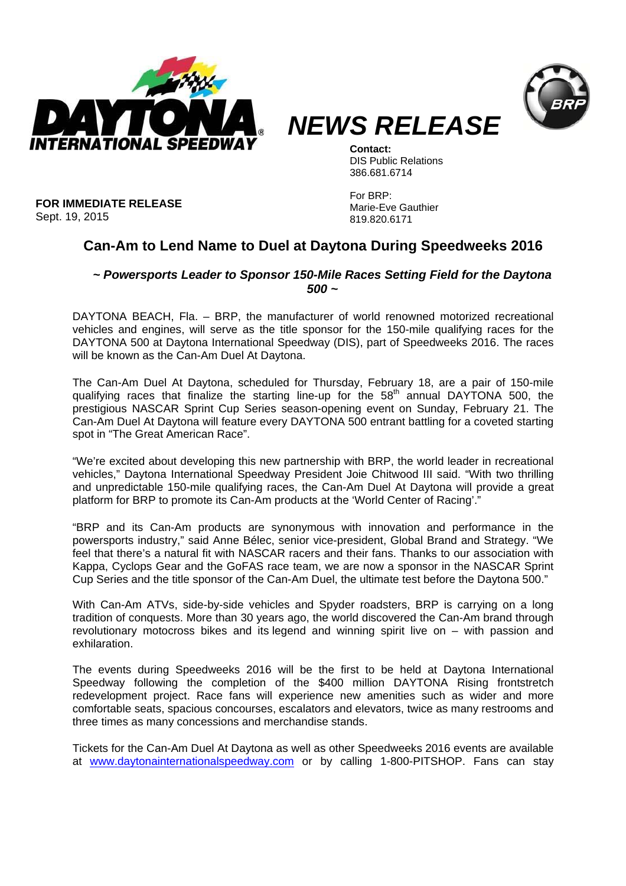



*NEWS RELEASE*

**Contact:**  DIS Public Relations 386.681.6714

**FOR IMMEDIATE RELEASE** Sept. 19, 2015

For BRP: Marie-Eve Gauthier 819.820.6171

## **Can-Am to Lend Name to Duel at Daytona During Speedweeks 2016**

## *~ Powersports Leader to Sponsor 150-Mile Races Setting Field for the Daytona 500 ~*

DAYTONA BEACH, Fla. – BRP, the manufacturer of world renowned motorized recreational vehicles and engines, will serve as the title sponsor for the 150-mile qualifying races for the DAYTONA 500 at Daytona International Speedway (DIS), part of Speedweeks 2016. The races will be known as the Can-Am Duel At Daytona.

The Can-Am Duel At Daytona, scheduled for Thursday, February 18, are a pair of 150-mile qualifying races that finalize the starting line-up for the 58<sup>th</sup> annual DAYTONA 500, the prestigious NASCAR Sprint Cup Series season-opening event on Sunday, February 21. The Can-Am Duel At Daytona will feature every DAYTONA 500 entrant battling for a coveted starting spot in "The Great American Race".

"We're excited about developing this new partnership with BRP, the world leader in recreational vehicles," Daytona International Speedway President Joie Chitwood III said. "With two thrilling and unpredictable 150-mile qualifying races, the Can-Am Duel At Daytona will provide a great platform for BRP to promote its Can-Am products at the 'World Center of Racing'."

"BRP and its Can-Am products are synonymous with innovation and performance in the powersports industry," said Anne Bélec, senior vice-president, Global Brand and Strategy. "We feel that there's a natural fit with NASCAR racers and their fans. Thanks to our association with Kappa, Cyclops Gear and the GoFAS race team, we are now a sponsor in the NASCAR Sprint Cup Series and the title sponsor of the Can-Am Duel, the ultimate test before the Daytona 500."

With Can-Am ATVs, side-by-side vehicles and Spyder roadsters, BRP is carrying on a long tradition of conquests. More than 30 years ago, the world discovered the Can-Am brand through revolutionary motocross bikes and its legend and winning spirit live on – with passion and exhilaration.

The events during Speedweeks 2016 will be the first to be held at Daytona International Speedway following the completion of the \$400 million DAYTONA Rising frontstretch redevelopment project. Race fans will experience new amenities such as wider and more comfortable seats, spacious concourses, escalators and elevators, twice as many restrooms and three times as many concessions and merchandise stands.

Tickets for the Can-Am Duel At Daytona as well as other Speedweeks 2016 events are available at www.daytonainternationalspeedway.com or by calling 1-800-PITSHOP. Fans can stay